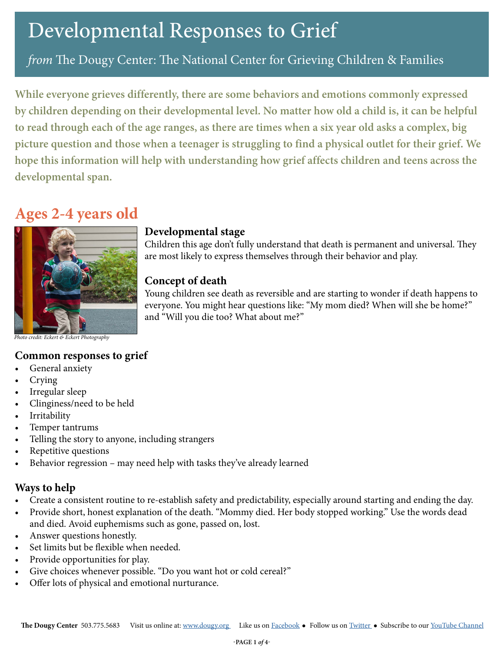*from* The Dougy Center: The National Center for Grieving Children & Families

**While everyone grieves differently, there are some behaviors and emotions commonly expressed by children depending on their developmental level. No matter how old a child is, it can be helpful to read through each of the age ranges, as there are times when a six year old asks a complex, big picture question and those when a teenager is struggling to find a physical outlet for their grief. We hope this information will help with understanding how grief affects children and teens across the developmental span.** 

## **Ages 2-4 years old**



#### **Developmental stage**

Children this age don't fully understand that death is permanent and universal. They are most likely to express themselves through their behavior and play.

#### **Concept of death**

Young children see death as reversible and are starting to wonder if death happens to everyone. You might hear questions like: "My mom died? When will she be home?" and "Will you die too? What about me?"

*Photo credit: Eckert & Eckert Photography*

#### **Common responses to grief**

- General anxiety
- Crying
- Irregular sleep
- Clinginess/need to be held
- **Irritability**
- Temper tantrums
- Telling the story to anyone, including strangers
- Repetitive questions
- Behavior regression may need help with tasks they've already learned

#### **Ways to help**

- Create a consistent routine to re-establish safety and predictability, especially around starting and ending the day.
- Provide short, honest explanation of the death. "Mommy died. Her body stopped working." Use the words dead and died. Avoid euphemisms such as gone, passed on, lost.
- Answer questions honestly.
- Set limits but be flexible when needed.
- Provide opportunities for play.
- Give choices whenever possible. "Do you want hot or cold cereal?"
- Offer lots of physical and emotional nurturance.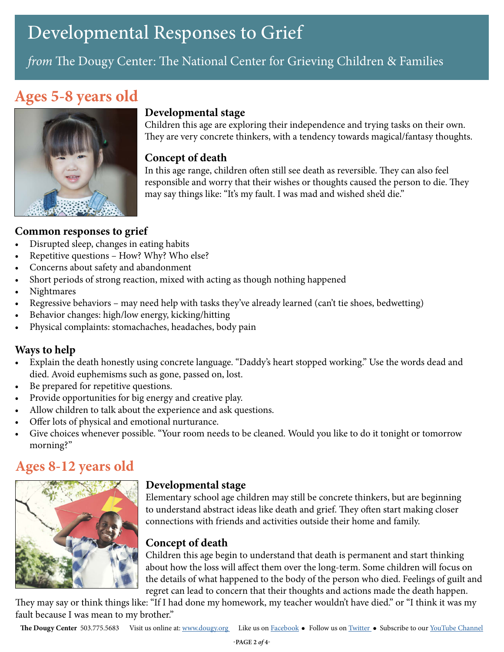## *from* The Dougy Center: The National Center for Grieving Children & Families

## **Ages 5-8 years old**



### **Developmental stage**

Children this age are exploring their independence and trying tasks on their own. They are very concrete thinkers, with a tendency towards magical/fantasy thoughts.

#### **Concept of death**

In this age range, children often still see death as reversible. They can also feel responsible and worry that their wishes or thoughts caused the person to die. They may say things like: "It's my fault. I was mad and wished she'd die."

#### **Common responses to grief**

- Disrupted sleep, changes in eating habits
- Repetitive questions How? Why? Who else?
- Concerns about safety and abandonment
- Short periods of strong reaction, mixed with acting as though nothing happened
- Nightmares
- Regressive behaviors may need help with tasks they've already learned (can't tie shoes, bedwetting)
- Behavior changes: high/low energy, kicking/hitting
- Physical complaints: stomachaches, headaches, body pain

### **Ways to help**

- Explain the death honestly using concrete language. "Daddy's heart stopped working." Use the words dead and died. Avoid euphemisms such as gone, passed on, lost.
- Be prepared for repetitive questions.
- Provide opportunities for big energy and creative play.
- Allow children to talk about the experience and ask questions.
- Offer lots of physical and emotional nurturance.
- Give choices whenever possible. "Your room needs to be cleaned. Would you like to do it tonight or tomorrow morning?"

## **Ages 8-12 years old**



### **Developmental stage**

Elementary school age children may still be concrete thinkers, but are beginning to understand abstract ideas like death and grief. They often start making closer connections with friends and activities outside their home and family.

### **Concept of death**

Children this age begin to understand that death is permanent and start thinking about how the loss will affect them over the long-term. Some children will focus on the details of what happened to the body of the person who died. Feelings of guilt and regret can lead to concern that their thoughts and actions made the death happen.

They may say or think things like: "If I had done my homework, my teacher wouldn't have died." or "I think it was my fault because I was mean to my brother."

**The Dougy Center** 503.775.5683 Visit us online at: [www.dougy.org](http://www.dougy.org) Like us on [Facebook](http://www.facebook.com/thedougycenter) • Follow us on [Twitter](http://www.twitter.com/thedougycenter) • Subscribe to our [YouTube Channel](http://www.youtube.com/dougycenter1)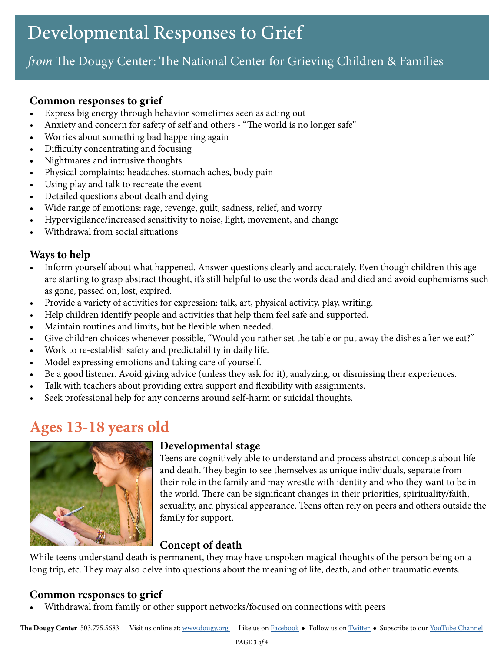## *from* The Dougy Center: The National Center for Grieving Children & Families

#### **Common responses to grief**

- Express big energy through behavior sometimes seen as acting out
- Anxiety and concern for safety of self and others "The world is no longer safe"
- Worries about something bad happening again
- Difficulty concentrating and focusing
- Nightmares and intrusive thoughts
- Physical complaints: headaches, stomach aches, body pain
- Using play and talk to recreate the event
- Detailed questions about death and dying
- Wide range of emotions: rage, revenge, guilt, sadness, relief, and worry
- Hypervigilance/increased sensitivity to noise, light, movement, and change
- Withdrawal from social situations

#### **Ways to help**

- Inform yourself about what happened. Answer questions clearly and accurately. Even though children this age are starting to grasp abstract thought, it's still helpful to use the words dead and died and avoid euphemisms such as gone, passed on, lost, expired.
- Provide a variety of activities for expression: talk, art, physical activity, play, writing.
- Help children identify people and activities that help them feel safe and supported.
- Maintain routines and limits, but be flexible when needed.
- Give children choices whenever possible, "Would you rather set the table or put away the dishes after we eat?"
- Work to re-establish safety and predictability in daily life.
- Model expressing emotions and taking care of yourself.
- Be a good listener. Avoid giving advice (unless they ask for it), analyzing, or dismissing their experiences.
- Talk with teachers about providing extra support and flexibility with assignments.
- Seek professional help for any concerns around self-harm or suicidal thoughts.

## **Ages 13-18 years old**



#### **Developmental stage**

Teens are cognitively able to understand and process abstract concepts about life and death. They begin to see themselves as unique individuals, separate from their role in the family and may wrestle with identity and who they want to be in the world. There can be significant changes in their priorities, spirituality/faith, sexuality, and physical appearance. Teens often rely on peers and others outside the family for support.

### **Concept of death**

While teens understand death is permanent, they may have unspoken magical thoughts of the person being on a long trip, etc. They may also delve into questions about the meaning of life, death, and other traumatic events.

### **Common responses to grief**

• Withdrawal from family or other support networks/focused on connections with peers